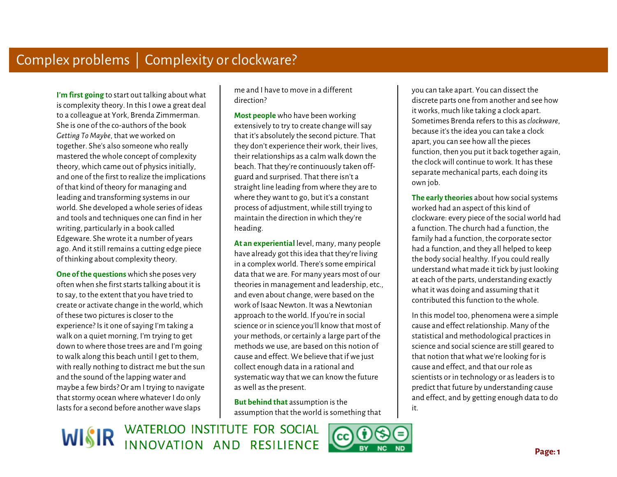Ì **I'm first going** to start out talking about what is complexity theory. In this I owe a great deal to a colleague at York, Brenda Zimmerman. She is one of the co-authors of the book *Getting To Maybe*, that we worked on together. She's also someone who really mastered the whole concept of complexity theory, which came out of physics initially, and one of the first to realize the implications of that kind of theory for managing and leading and transforming systems in our world. She developed a whole series of ideas and tools and techniques one can find in her writing, particularly in a book called Edgeware. She wrote it a number of years ago. And it still remains a cutting edge piece of thinking about complexity theory.

Ì  $\overline{a}$ **One of the questions** which she poses very often when she first starts talking about it is to say, to the extent that you have tried to create or activate change in the world, which of these two pictures is closer to the experience? Is it one of saying I'm taking a walk on a quiet morning, I'm trying to get down to where those trees are and I'm going to walk along this beach until I get to them, with really nothing to distract me but the sun and the sound of the lapping water and maybe a few birds? Or am I trying to navigate that stormy ocean where whatever I do only lasts for a second before another wave slaps

me and I have to move in a different direction?

**Most people** who have been working extensively to try to create change will say that it's absolutely the second picture. That they don't experience their work, their lives, their relationships as a calm walk down the beach. That they're continuously taken offguard and surprised. That there isn't a straight line leading from where they are to where they want to go, but it's a constant process of adjustment, while still trying to maintain the direction in which they're heading.

**At an experiential** level, many, many people have already got this idea that they're living in a complex world. There's some empirical data that we are. For many years most of our theories in management and leadership, etc., and even about change, were based on the work of Isaac Newton. It was a Newtonian approach to the world. If you're in social science or in science you'll know that most of your methods, or certainly a large part of the methods we use, are based on this notion of cause and effect. We believe that if we just collect enough data in a rational and systematic way that we can know the future as well as the present.

**But behind that** assumption is the assumption that the world is something that

WISIR WATERLOO INSTITUTE FOR SOCIAL INNOVATION AND RESILIENCE



you can take apart. You can dissect the discrete parts one from another and see how it works, much like taking a clock apart. Sometimes Brenda refers to this as *clockware*, because it's the idea you can take a clock apart, you can see how all the pieces function, then you put it back together again, the clock will continue to work. It has these separate mechanical parts, each doing its own job.

 **The early theories** about how social systems worked had an aspect of this kind of clockware: every piece of the social world had a function. The church had a function, the family had a function, the corporate sector had a function, and they all helped to keep the body social healthy. If you could really understand what made it tick by just looking at each of the parts, understanding exactly what it was doing and assuming that it contributed this function to the whole.

In this model too, phenomena were a simple cause and effect relationship. Many of the statistical and methodological practices in science and social science are still geared to that notion that what we're looking for is cause and effect, and that our role as scientists or in technology or as leaders is to predict that future by understanding cause and effect, and by getting enough data to do it.